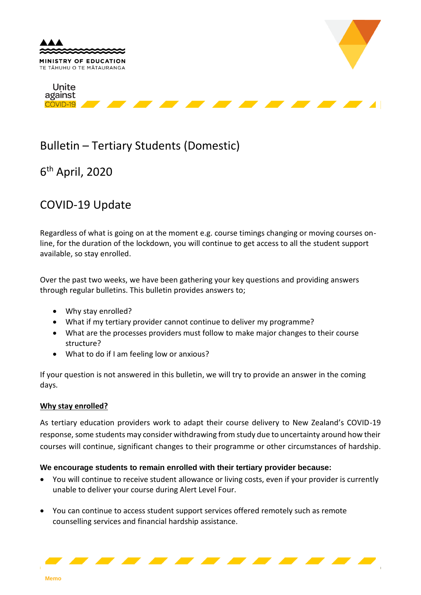

# Bulletin – Tertiary Students (Domestic)

6 th April, 2020

## COVID-19 Update

Regardless of what is going on at the moment e.g. course timings changing or moving courses online, for the duration of the lockdown, you will continue to get access to all the student support available, so stay enrolled.

Over the past two weeks, we have been gathering your key questions and providing answers through regular bulletins. This bulletin provides answers to;

- Why stay enrolled?
- What if my tertiary provider cannot continue to deliver my programme?
- What are the processes providers must follow to make major changes to their course structure?
- What to do if I am feeling low or anxious?

If your question is not answered in this bulletin, we will try to provide an answer in the coming days.

#### **Why stay enrolled?**

As tertiary education providers work to adapt their course delivery to New Zealand's COVID-19 response, some students may consider withdrawing from study due to uncertainty around how their courses will continue, significant changes to their programme or other circumstances of hardship.

#### **We encourage students to remain enrolled with their tertiary provider because:**

- You will continue to receive student allowance or living costs, even if your provider is currently unable to deliver your course during Alert Level Four.
- You can continue to access student support services offered remotely such as remote counselling services and financial hardship assistance.

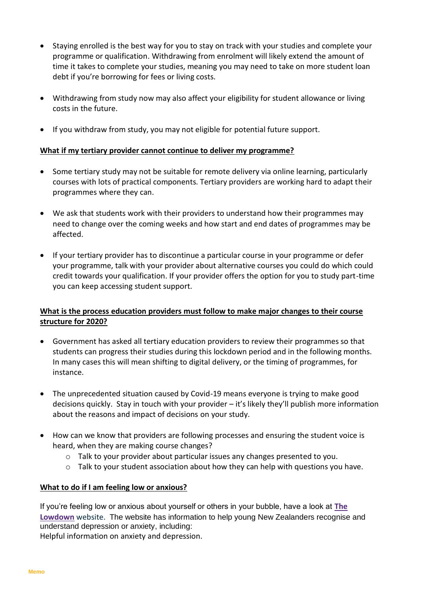- Staying enrolled is the best way for you to stay on track with your studies and complete your programme or qualification. Withdrawing from enrolment will likely extend the amount of time it takes to complete your studies, meaning you may need to take on more student loan debt if you're borrowing for fees or living costs.
- Withdrawing from study now may also affect your eligibility for student allowance or living costs in the future.
- If you withdraw from study, you may not eligible for potential future support.

#### **What if my tertiary provider cannot continue to deliver my programme?**

- Some tertiary study may not be suitable for remote delivery via online learning, particularly courses with lots of practical components. Tertiary providers are working hard to adapt their programmes where they can.
- We ask that students work with their providers to understand how their programmes may need to change over the coming weeks and how start and end dates of programmes may be affected.
- If your tertiary provider has to discontinue a particular course in your programme or defer your programme, talk with your provider about alternative courses you could do which could credit towards your qualification. If your provider offers the option for you to study part-time you can keep accessing student support.

### **What is the process education providers must follow to make major changes to their course structure for 2020?**

- Government has asked all tertiary education providers to review their programmes so that students can progress their studies during this lockdown period and in the following months. In many cases this will mean shifting to digital delivery, or the timing of programmes, for instance.
- The unprecedented situation caused by Covid-19 means everyone is trying to make good decisions quickly. Stay in touch with your provider – it's likely they'll publish more information about the reasons and impact of decisions on your study.
- How can we know that providers are following processes and ensuring the student voice is heard, when they are making course changes?
	- o Talk to your provider about particular issues any changes presented to you.
	- $\circ$  Talk to your student association about how they can help with questions you have.

#### **What to do if I am feeling low or anxious?**

If you're feeling low or anxious about yourself or others in your bubble, have a look at **[The](https://thelowdown.co.nz/)  [Lowdown](https://thelowdown.co.nz/)** website. The website has information to help young New Zealanders recognise and understand depression or anxiety, including:

Helpful information on anxiety and depression.